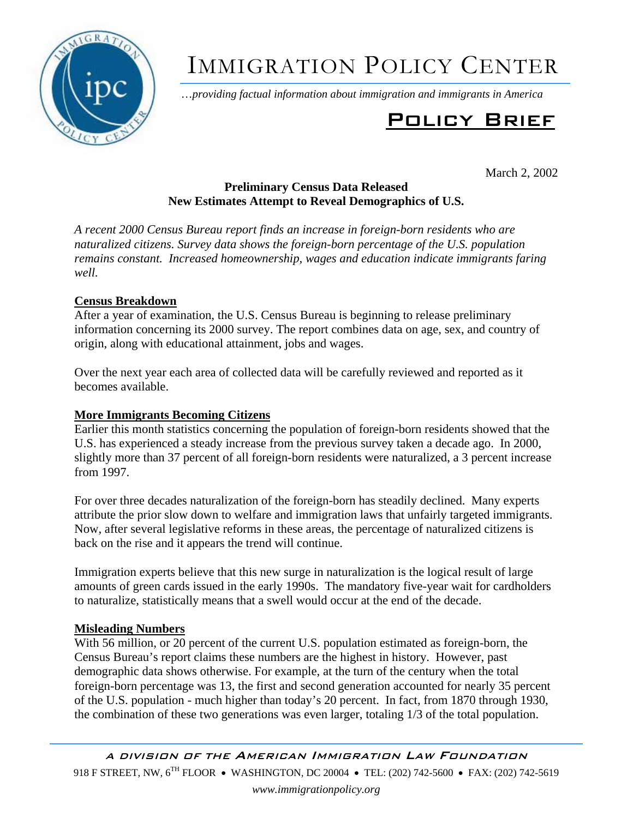

# IMMIGRATION POLICY CENTER

…*providing factual information about immigration and immigrants in America*

# Policy Brief

March 2, 2002

# **Preliminary Census Data Released New Estimates Attempt to Reveal Demographics of U.S.**

*A recent 2000 Census Bureau report finds an increase in foreign-born residents who are naturalized citizens. Survey data shows the foreign-born percentage of the U.S. population remains constant. Increased homeownership, wages and education indicate immigrants faring well.* 

# **Census Breakdown**

After a year of examination, the U.S. Census Bureau is beginning to release preliminary information concerning its 2000 survey. The report combines data on age, sex, and country of origin, along with educational attainment, jobs and wages.

Over the next year each area of collected data will be carefully reviewed and reported as it becomes available.

## **More Immigrants Becoming Citizens**

Earlier this month statistics concerning the population of foreign-born residents showed that the U.S. has experienced a steady increase from the previous survey taken a decade ago. In 2000, slightly more than 37 percent of all foreign-born residents were naturalized, a 3 percent increase from 1997.

For over three decades naturalization of the foreign-born has steadily declined. Many experts attribute the prior slow down to welfare and immigration laws that unfairly targeted immigrants. Now, after several legislative reforms in these areas, the percentage of naturalized citizens is back on the rise and it appears the trend will continue.

Immigration experts believe that this new surge in naturalization is the logical result of large amounts of green cards issued in the early 1990s. The mandatory five-year wait for cardholders to naturalize, statistically means that a swell would occur at the end of the decade.

### **Misleading Numbers**

With 56 million, or 20 percent of the current U.S. population estimated as foreign-born, the Census Bureau's report claims these numbers are the highest in history. However, past demographic data shows otherwise. For example, at the turn of the century when the total foreign-born percentage was 13, the first and second generation accounted for nearly 35 percent of the U.S. population - much higher than today's 20 percent. In fact, from 1870 through 1930, the combination of these two generations was even larger, totaling 1/3 of the total population.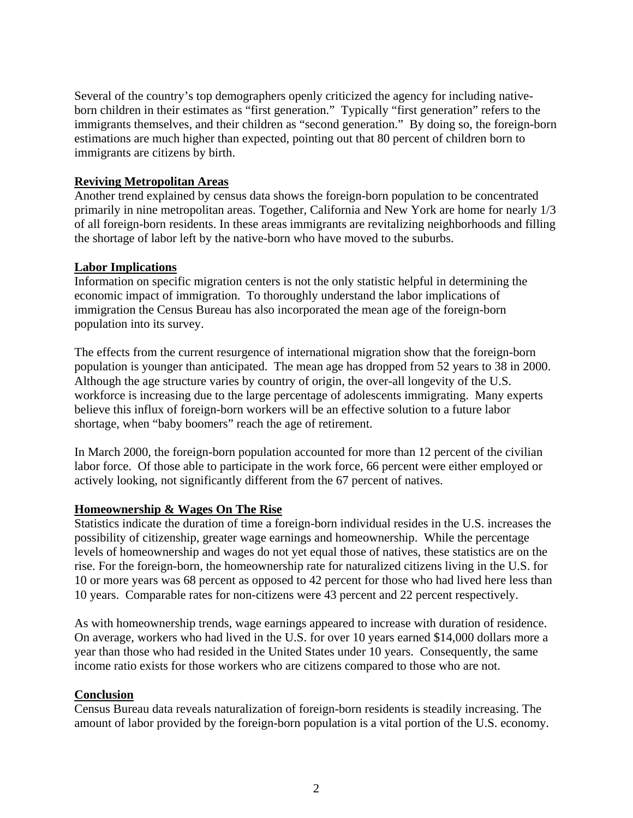Several of the country's top demographers openly criticized the agency for including nativeborn children in their estimates as "first generation." Typically "first generation" refers to the immigrants themselves, and their children as "second generation." By doing so, the foreign-born estimations are much higher than expected, pointing out that 80 percent of children born to immigrants are citizens by birth.

#### **Reviving Metropolitan Areas**

Another trend explained by census data shows the foreign-born population to be concentrated primarily in nine metropolitan areas. Together, California and New York are home for nearly 1/3 of all foreign-born residents. In these areas immigrants are revitalizing neighborhoods and filling the shortage of labor left by the native-born who have moved to the suburbs.

#### **Labor Implications**

Information on specific migration centers is not the only statistic helpful in determining the economic impact of immigration. To thoroughly understand the labor implications of immigration the Census Bureau has also incorporated the mean age of the foreign-born population into its survey.

The effects from the current resurgence of international migration show that the foreign-born population is younger than anticipated. The mean age has dropped from 52 years to 38 in 2000. Although the age structure varies by country of origin, the over-all longevity of the U.S. workforce is increasing due to the large percentage of adolescents immigrating. Many experts believe this influx of foreign-born workers will be an effective solution to a future labor shortage, when "baby boomers" reach the age of retirement.

In March 2000, the foreign-born population accounted for more than 12 percent of the civilian labor force. Of those able to participate in the work force, 66 percent were either employed or actively looking, not significantly different from the 67 percent of natives.

#### **Homeownership & Wages On The Rise**

Statistics indicate the duration of time a foreign-born individual resides in the U.S. increases the possibility of citizenship, greater wage earnings and homeownership. While the percentage levels of homeownership and wages do not yet equal those of natives, these statistics are on the rise. For the foreign-born, the homeownership rate for naturalized citizens living in the U.S. for 10 or more years was 68 percent as opposed to 42 percent for those who had lived here less than 10 years. Comparable rates for non-citizens were 43 percent and 22 percent respectively.

As with homeownership trends, wage earnings appeared to increase with duration of residence. On average, workers who had lived in the U.S. for over 10 years earned \$14,000 dollars more a year than those who had resided in the United States under 10 years. Consequently, the same income ratio exists for those workers who are citizens compared to those who are not.

#### **Conclusion**

Census Bureau data reveals naturalization of foreign-born residents is steadily increasing. The amount of labor provided by the foreign-born population is a vital portion of the U.S. economy.